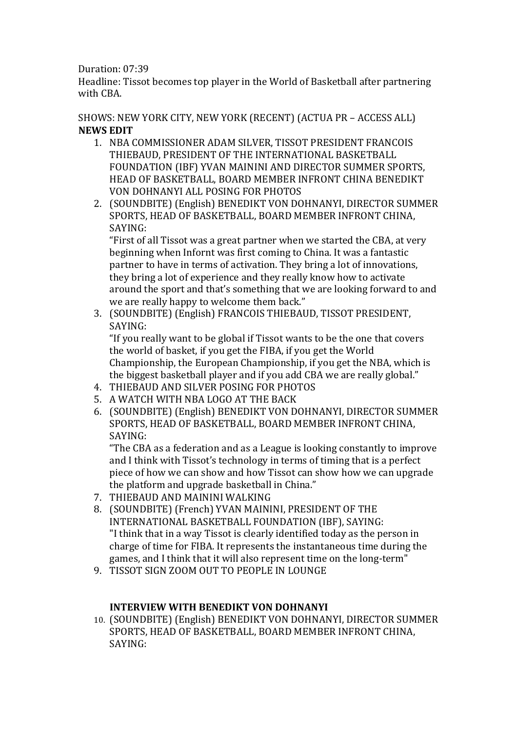## Duration: 07:39

Headline: Tissot becomes top player in the World of Basketball after partnering with CBA.

SHOWS: NEW YORK CITY, NEW YORK (RECENT) (ACTUA PR – ACCESS ALL) **NEWS EDIT**

- 1. NBA COMMISSIONER ADAM SILVER, TISSOT PRESIDENT FRANCOIS THIEBAUD, PRESIDENT OF THE INTERNATIONAL BASKETBALL FOUNDATION (IBF) YVAN MAININI AND DIRECTOR SUMMER SPORTS, HEAD OF BASKETBALL, BOARD MEMBER INFRONT CHINA BENEDIKT VON DOHNANYI ALL POSING FOR PHOTOS
- 2. (SOUNDBITE) (English) BENEDIKT VON DOHNANYI, DIRECTOR SUMMER SPORTS, HEAD OF BASKETBALL, BOARD MEMBER INFRONT CHINA, SAYING:

"First of all Tissot was a great partner when we started the CBA, at very beginning when Infornt was first coming to China. It was a fantastic partner to have in terms of activation. They bring a lot of innovations, they bring a lot of experience and they really know how to activate around the sport and that's something that we are looking forward to and we are really happy to welcome them back."

3. (SOUNDBITE) (English) FRANCOIS THIEBAUD, TISSOT PRESIDENT, SAYING:

"If you really want to be global if Tissot wants to be the one that covers the world of basket, if you get the FIBA, if you get the World Championship, the European Championship, if you get the NBA, which is the biggest basketball player and if you add CBA we are really global."

- 4. THIEBAUD AND SILVER POSING FOR PHOTOS
- 5. A WATCH WITH NBA LOGO AT THE BACK
- 6. (SOUNDBITE) (English) BENEDIKT VON DOHNANYI, DIRECTOR SUMMER SPORTS, HEAD OF BASKETBALL, BOARD MEMBER INFRONT CHINA, SAYING:

"The CBA as a federation and as a League is looking constantly to improve and I think with Tissot's technology in terms of timing that is a perfect piece of how we can show and how Tissot can show how we can upgrade the platform and upgrade basketball in China."

- 7. THIEBAUD AND MAININI WALKING
- 8. (SOUNDBITE) (French) YVAN MAININI, PRESIDENT OF THE INTERNATIONAL BASKETBALL FOUNDATION (IBF), SAYING: "I think that in a way Tissot is clearly identified today as the person in charge of time for FIBA. It represents the instantaneous time during the games, and I think that it will also represent time on the long‐term"
- 9. TISSOT SIGN ZOOM OUT TO PEOPLE IN LOUNGE

# **INTERVIEW WITH BENEDIKT VON DOHNANYI**

10. (SOUNDBITE) (English) BENEDIKT VON DOHNANYI, DIRECTOR SUMMER SPORTS, HEAD OF BASKETBALL, BOARD MEMBER INFRONT CHINA, SAYING: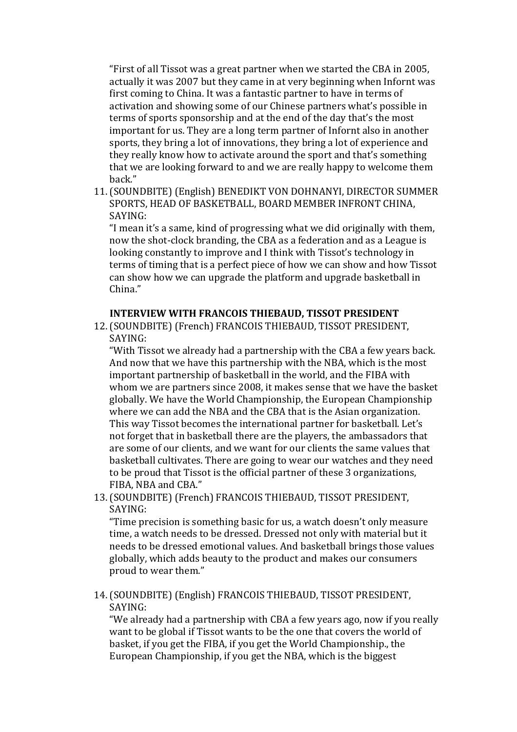"First of all Tissot was a great partner when we started the CBA in 2005, actually it was 2007 but they came in at very beginning when Infornt was first coming to China. It was a fantastic partner to have in terms of activation and showing some of our Chinese partners what's possible in terms of sports sponsorship and at the end of the day that's the most important for us. They are a long term partner of Infornt also in another sports, they bring a lot of innovations, they bring a lot of experience and they really know how to activate around the sport and that's something that we are looking forward to and we are really happy to welcome them back."

11.(SOUNDBITE) (English) BENEDIKT VON DOHNANYI, DIRECTOR SUMMER SPORTS, HEAD OF BASKETBALL, BOARD MEMBER INFRONT CHINA, SAYING:

"I mean it's a same, kind of progressing what we did originally with them, now the shot‐clock branding, the CBA as a federation and as a League is looking constantly to improve and I think with Tissot's technology in terms of timing that is a perfect piece of how we can show and how Tissot can show how we can upgrade the platform and upgrade basketball in China."

### **INTERVIEW WITH FRANCOIS THIEBAUD, TISSOT PRESIDENT**

12.(SOUNDBITE) (French) FRANCOIS THIEBAUD, TISSOT PRESIDENT, SAYING:

"With Tissot we already had a partnership with the CBA a few years back. And now that we have this partnership with the NBA, which is the most important partnership of basketball in the world, and the FIBA with whom we are partners since 2008, it makes sense that we have the basket globally. We have the World Championship, the European Championship where we can add the NBA and the CBA that is the Asian organization. This way Tissot becomes the international partner for basketball. Let's not forget that in basketball there are the players, the ambassadors that are some of our clients, and we want for our clients the same values that basketball cultivates. There are going to wear our watches and they need to be proud that Tissot is the official partner of these 3 organizations, FIBA, NBA and CBA."

13.(SOUNDBITE) (French) FRANCOIS THIEBAUD, TISSOT PRESIDENT, SAYING:

"Time precision is something basic for us, a watch doesn't only measure time, a watch needs to be dressed. Dressed not only with material but it needs to be dressed emotional values. And basketball brings those values globally, which adds beauty to the product and makes our consumers proud to wear them."

14.(SOUNDBITE) (English) FRANCOIS THIEBAUD, TISSOT PRESIDENT, SAYING:

"We already had a partnership with CBA a few years ago, now if you really want to be global if Tissot wants to be the one that covers the world of basket, if you get the FIBA, if you get the World Championship., the European Championship, if you get the NBA, which is the biggest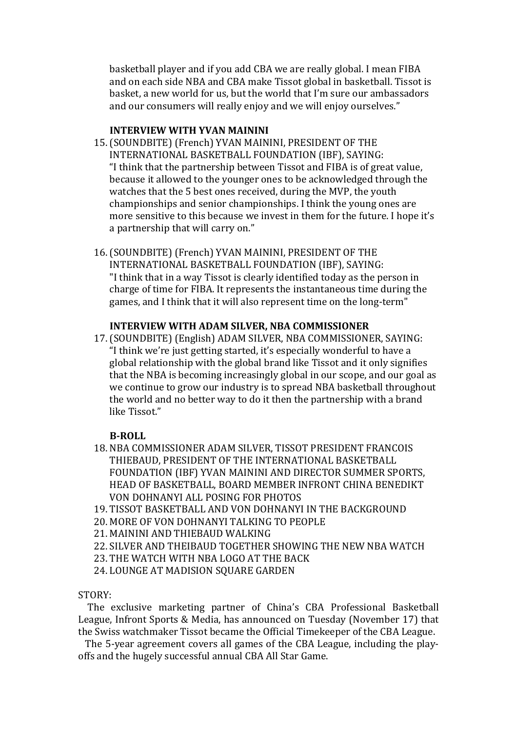basketball player and if you add CBA we are really global. I mean FIBA and on each side NBA and CBA make Tissot global in basketball. Tissot is basket, a new world for us, but the world that I'm sure our ambassadors and our consumers will really enjoy and we will enjoy ourselves."

### **INTERVIEW WITH YVAN MAININI**

- 15.(SOUNDBITE) (French) YVAN MAININI, PRESIDENT OF THE INTERNATIONAL BASKETBALL FOUNDATION (IBF), SAYING: "I think that the partnership between Tissot and FIBA is of great value, because it allowed to the younger ones to be acknowledged through the watches that the 5 best ones received, during the MVP, the youth championships and senior championships. I think the young ones are more sensitive to this because we invest in them for the future. I hope it's a partnership that will carry on."
- 16.(SOUNDBITE) (French) YVAN MAININI, PRESIDENT OF THE INTERNATIONAL BASKETBALL FOUNDATION (IBF), SAYING: "I think that in a way Tissot is clearly identified today as the person in charge of time for FIBA. It represents the instantaneous time during the games, and I think that it will also represent time on the long-term"

#### **INTERVIEW WITH ADAM SILVER, NBA COMMISSIONER**

17.(SOUNDBITE) (English) ADAM SILVER, NBA COMMISSIONER, SAYING: "I think we're just getting started, it's especially wonderful to have a global relationship with the global brand like Tissot and it only signifies that the NBA is becoming increasingly global in our scope, and our goal as we continue to grow our industry is to spread NBA basketball throughout the world and no better way to do it then the partnership with a brand like Tissot."

### **B‐ROLL**

- 18. NBA COMMISSIONER ADAM SILVER, TISSOT PRESIDENT FRANCOIS THIEBAUD, PRESIDENT OF THE INTERNATIONAL BASKETBALL FOUNDATION (IBF) YVAN MAININI AND DIRECTOR SUMMER SPORTS, HEAD OF BASKETBALL, BOARD MEMBER INFRONT CHINA BENEDIKT VON DOHNANYI ALL POSING FOR PHOTOS
- 19. TISSOT BASKETBALL AND VON DOHNANYI IN THE BACKGROUND
- 20. MORE OF VON DOHNANYI TALKING TO PEOPLE
- 21. MAININI AND THIEBAUD WALKING
- 22. SILVER AND THEIBAUD TOGETHER SHOWING THE NEW NBA WATCH
- 23. THE WATCH WITH NBA LOGO AT THE BACK
- 24. LOUNGE AT MADISION SQUARE GARDEN

STORY:

 The exclusive marketing partner of China's CBA Professional Basketball League, Infront Sports & Media, has announced on Tuesday (November 17) that the Swiss watchmaker Tissot became the Official Timekeeper of the CBA League.

The 5-year agreement covers all games of the CBA League, including the playoffs and the hugely successful annual CBA All Star Game.